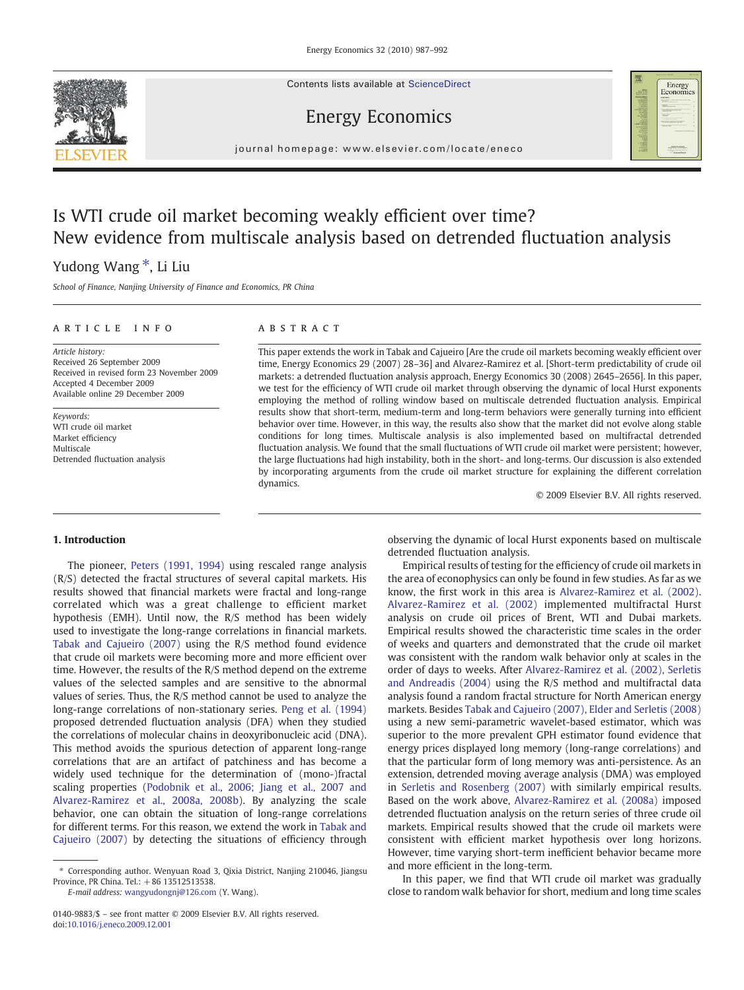Contents lists available at ScienceDirect

Energy Economics



journal homepage: www.elsevier.com/locate/eneco

## Is WTI crude oil market becoming weakly efficient over time? New evidence from multiscale analysis based on detrended fluctuation analysis

## Yudong Wang<sup>\*</sup>, Li Liu

School of Finance, Nanjing University of Finance and Economics, PR China

### article info abstract

Article history: Received 26 September 2009 Received in revised form 23 November 2009 Accepted 4 December 2009 Available online 29 December 2009

Keywords: WTI crude oil market Market efficiency Multiscale Detrended fluctuation analysis

This paper extends the work in Tabak and Cajueiro [Are the crude oil markets becoming weakly efficient over time, Energy Economics 29 (2007) 28–36] and Alvarez-Ramirez et al. [Short-term predictability of crude oil markets: a detrended fluctuation analysis approach, Energy Economics 30 (2008) 2645–2656]. In this paper, we test for the efficiency of WTI crude oil market through observing the dynamic of local Hurst exponents employing the method of rolling window based on multiscale detrended fluctuation analysis. Empirical results show that short-term, medium-term and long-term behaviors were generally turning into efficient behavior over time. However, in this way, the results also show that the market did not evolve along stable conditions for long times. Multiscale analysis is also implemented based on multifractal detrended fluctuation analysis. We found that the small fluctuations of WTI crude oil market were persistent; however, the large fluctuations had high instability, both in the short- and long-terms. Our discussion is also extended by incorporating arguments from the crude oil market structure for explaining the different correlation dynamics.

© 2009 Elsevier B.V. All rights reserved.

### 1. Introduction

The pioneer, [Peters \(1991, 1994\)](#page--1-0) using rescaled range analysis (R/S) detected the fractal structures of several capital markets. His results showed that financial markets were fractal and long-range correlated which was a great challenge to efficient market hypothesis (EMH). Until now, the R/S method has been widely used to investigate the long-range correlations in financial markets. [Tabak and Cajueiro \(2007\)](#page--1-0) using the R/S method found evidence that crude oil markets were becoming more and more efficient over time. However, the results of the R/S method depend on the extreme values of the selected samples and are sensitive to the abnormal values of series. Thus, the R/S method cannot be used to analyze the long-range correlations of non-stationary series. [Peng et al. \(1994\)](#page--1-0) proposed detrended fluctuation analysis (DFA) when they studied the correlations of molecular chains in deoxyribonucleic acid (DNA). This method avoids the spurious detection of apparent long-range correlations that are an artifact of patchiness and has become a widely used technique for the determination of (mono-)fractal scaling properties ([Podobnik et al., 2006; Jiang et al., 2007 and](#page--1-0) [Alvarez-Ramirez et al., 2008a, 2008b](#page--1-0)). By analyzing the scale behavior, one can obtain the situation of long-range correlations for different terms. For this reason, we extend the work in [Tabak and](#page--1-0) [Cajueiro \(2007\)](#page--1-0) by detecting the situations of efficiency through

E-mail address: [wangyudongnj@126.com](mailto:wangyudongnj@126.com) (Y. Wang).

observing the dynamic of local Hurst exponents based on multiscale detrended fluctuation analysis.

Empirical results of testing for the efficiency of crude oil markets in the area of econophysics can only be found in few studies. As far as we know, the first work in this area is [Alvarez-Ramirez et al. \(2002\).](#page--1-0) [Alvarez-Ramirez et al. \(2002\)](#page--1-0) implemented multifractal Hurst analysis on crude oil prices of Brent, WTI and Dubai markets. Empirical results showed the characteristic time scales in the order of weeks and quarters and demonstrated that the crude oil market was consistent with the random walk behavior only at scales in the order of days to weeks. After [Alvarez-Ramirez et al. \(2002\), Serletis](#page--1-0) [and Andreadis \(2004\)](#page--1-0) using the R/S method and multifractal data analysis found a random fractal structure for North American energy markets. Besides [Tabak and Cajueiro \(2007\), Elder and Serletis \(2008\)](#page--1-0) using a new semi-parametric wavelet-based estimator, which was superior to the more prevalent GPH estimator found evidence that energy prices displayed long memory (long-range correlations) and that the particular form of long memory was anti-persistence. As an extension, detrended moving average analysis (DMA) was employed in [Serletis and Rosenberg \(2007\)](#page--1-0) with similarly empirical results. Based on the work above, [Alvarez-Ramirez et al. \(2008a\)](#page--1-0) imposed detrended fluctuation analysis on the return series of three crude oil markets. Empirical results showed that the crude oil markets were consistent with efficient market hypothesis over long horizons. However, time varying short-term inefficient behavior became more and more efficient in the long-term.

In this paper, we find that WTI crude oil market was gradually close to random walk behavior for short, medium and long time scales

<sup>⁎</sup> Corresponding author. Wenyuan Road 3, Qixia District, Nanjing 210046, Jiangsu Province, PR China. Tel.: +86 13512513538.

<sup>0140-9883/\$</sup> – see front matter © 2009 Elsevier B.V. All rights reserved. doi:[10.1016/j.eneco.2009.12.001](http://dx.doi.org/10.1016/j.eneco.2009.12.001)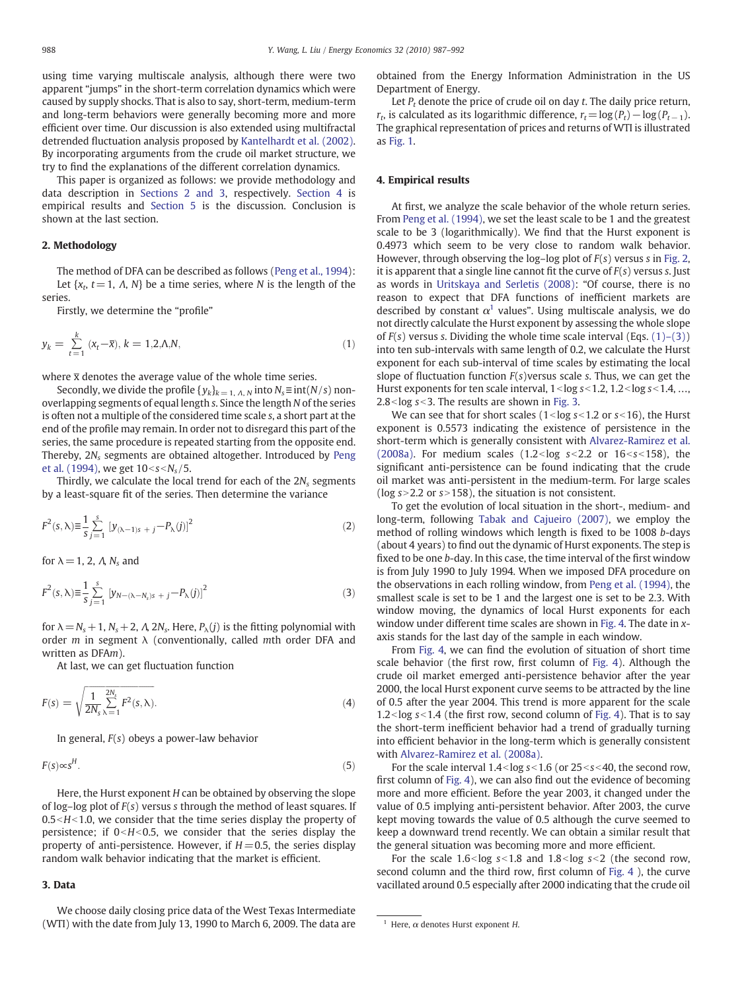using time varying multiscale analysis, although there were two apparent "jumps" in the short-term correlation dynamics which were caused by supply shocks. That is also to say, short-term, medium-term and long-term behaviors were generally becoming more and more efficient over time. Our discussion is also extended using multifractal detrended fluctuation analysis proposed by [Kantelhardt et al. \(2002\).](#page--1-0) By incorporating arguments from the crude oil market structure, we try to find the explanations of the different correlation dynamics.

This paper is organized as follows: we provide methodology and data description in Sections 2 and 3, respectively. Section 4 is empirical results and [Section 5](#page--1-0) is the discussion. Conclusion is shown at the last section.

#### 2. Methodology

The method of DFA can be described as follows ([Peng et al., 1994\)](#page--1-0): Let  $\{x_t, t=1, \Lambda, N\}$  be a time series, where N is the length of the series.

Firstly, we determine the "profile"

$$
y_k = \sum_{t=1}^k (x_t - \overline{x}), k = 1, 2, \Lambda, N,
$$
 (1)

where  $\bar{x}$  denotes the average value of the whole time series.

Secondly, we divide the profile  $\{y_k\}_{k=1, \Lambda, N}$  into  $N_s \equiv \text{int}(N/s)$  nonoverlapping segments of equal length s. Since the length N of the series is often not a multiple of the considered time scale s, a short part at the end of the profile may remain. In order not to disregard this part of the series, the same procedure is repeated starting from the opposite end. Thereby,  $2N_s$  segments are obtained altogether. Introduced by [Peng](#page--1-0) [et al. \(1994\),](#page--1-0) we get  $10 < s < N_s / 5$ .

Thirdly, we calculate the local trend for each of the  $2N_s$  segments by a least-square fit of the series. Then determine the variance

$$
F^{2}(s,\lambda) \equiv \frac{1}{s} \sum_{j=1}^{s} \left[ y_{(\lambda-1)s+j} - P_{\lambda}(j) \right]^{2}
$$
 (2)

for  $\lambda = 1$ , 2,  $\Lambda$ ,  $N_s$  and

$$
F^{2}(s,\lambda) \equiv \frac{1}{s} \sum_{j=1}^{s} \left[ y_{N-(\lambda-N_{s})s} + j - P_{\lambda}(j) \right]^{2}
$$
 (3)

for  $\lambda = N_s + 1$ ,  $N_s + 2$ ,  $\Lambda$ ,  $2N_s$ . Here,  $P_{\lambda}(i)$  is the fitting polynomial with order m in segment  $\lambda$  (conventionally, called mth order DFA and written as DFAm).

At last, we can get fluctuation function

$$
F(s) = \sqrt{\frac{1}{2N_s} \sum_{\lambda=1}^{2N_s} F^2(s, \lambda)}.
$$
\n(4)

In general,  $F(s)$  obeys a power-law behavior

$$
F(s) \propto s^H. \tag{5}
$$

Here, the Hurst exponent  $H$  can be obtained by observing the slope of log-log plot of  $F(s)$  versus s through the method of least squares. If  $0.5 < H < 1.0$ , we consider that the time series display the property of persistence; if  $0 < H < 0.5$ , we consider that the series display the property of anti-persistence. However, if  $H=0.5$ , the series display random walk behavior indicating that the market is efficient.

#### 3. Data

We choose daily closing price data of the West Texas Intermediate (WTI) with the date from July 13, 1990 to March 6, 2009. The data are obtained from the Energy Information Administration in the US Department of Energy.

Let  $P_t$  denote the price of crude oil on day t. The daily price return,  $r_t$ , is calculated as its logarithmic difference,  $r_t = \log (P_t) - \log (P_{t-1})$ . The graphical representation of prices and returns of WTI is illustrated as [Fig. 1.](#page--1-0)

#### 4. Empirical results

At first, we analyze the scale behavior of the whole return series. From [Peng et al. \(1994\),](#page--1-0) we set the least scale to be 1 and the greatest scale to be 3 (logarithmically). We find that the Hurst exponent is 0.4973 which seem to be very close to random walk behavior. However, through observing the log-log plot of  $F(s)$  versus s in [Fig. 2,](#page--1-0) it is apparent that a single line cannot fit the curve of  $F(s)$  versus s. Just as words in [Uritskaya and Serletis \(2008\):](#page--1-0) "Of course, there is no reason to expect that DFA functions of inefficient markets are described by constant  $\alpha^1$  values". Using multiscale analysis, we do not directly calculate the Hurst exponent by assessing the whole slope of  $F(s)$  versus s. Dividing the whole time scale interval (Eqs. (1)–(3)) into ten sub-intervals with same length of 0.2, we calculate the Hurst exponent for each sub-interval of time scales by estimating the local slope of fluctuation function  $F(s)$  versus scale s. Thus, we can get the Hurst exponents for ten scale interval,  $1 <$ log s $< 1.2$ ,  $1.2 <$ log s $< 1.4$ , …,  $2.8 < log s < 3$ . The results are shown in [Fig. 3.](#page--1-0)

We can see that for short scales ( $1$ <log s<1.2 or s<16), the Hurst exponent is 0.5573 indicating the existence of persistence in the short-term which is generally consistent with [Alvarez-Ramirez et al.](#page--1-0) [\(2008a\)](#page--1-0). For medium scales (1.2<log  $s<$  2.2 or 16 $<$ s $<$  158), the significant anti-persistence can be found indicating that the crude oil market was anti-persistent in the medium-term. For large scales (log  $s > 2.2$  or  $s > 158$ ), the situation is not consistent.

To get the evolution of local situation in the short-, medium- and long-term, following [Tabak and Cajueiro \(2007\)](#page--1-0), we employ the method of rolling windows which length is fixed to be 1008 b-days (about 4 years) to find out the dynamic of Hurst exponents. The step is fixed to be one b-day. In this case, the time interval of the first window is from July 1990 to July 1994. When we imposed DFA procedure on the observations in each rolling window, from [Peng et al. \(1994\),](#page--1-0) the smallest scale is set to be 1 and the largest one is set to be 2.3. With window moving, the dynamics of local Hurst exponents for each window under different time scales are shown in [Fig. 4.](#page--1-0) The date in xaxis stands for the last day of the sample in each window.

From [Fig. 4,](#page--1-0) we can find the evolution of situation of short time scale behavior (the first row, first column of [Fig. 4](#page--1-0)). Although the crude oil market emerged anti-persistence behavior after the year 2000, the local Hurst exponent curve seems to be attracted by the line of 0.5 after the year 2004. This trend is more apparent for the scale  $1.2 <$ log s<1.4 (the first row, second column of [Fig. 4](#page--1-0)). That is to say the short-term inefficient behavior had a trend of gradually turning into efficient behavior in the long-term which is generally consistent with [Alvarez-Ramirez et al. \(2008a\).](#page--1-0)

For the scale interval  $1.4 < log s < 1.6$  (or  $25 < s < 40$ , the second row, first column of [Fig. 4](#page--1-0)), we can also find out the evidence of becoming more and more efficient. Before the year 2003, it changed under the value of 0.5 implying anti-persistent behavior. After 2003, the curve kept moving towards the value of 0.5 although the curve seemed to keep a downward trend recently. We can obtain a similar result that the general situation was becoming more and more efficient.

For the scale  $1.6 < log s < 1.8$  and  $1.8 < log s < 2$  (the second row, second column and the third row, first column of [Fig. 4](#page--1-0) ), the curve vacillated around 0.5 especially after 2000 indicating that the crude oil

<sup>&</sup>lt;sup>1</sup> Here,  $\alpha$  denotes Hurst exponent H.